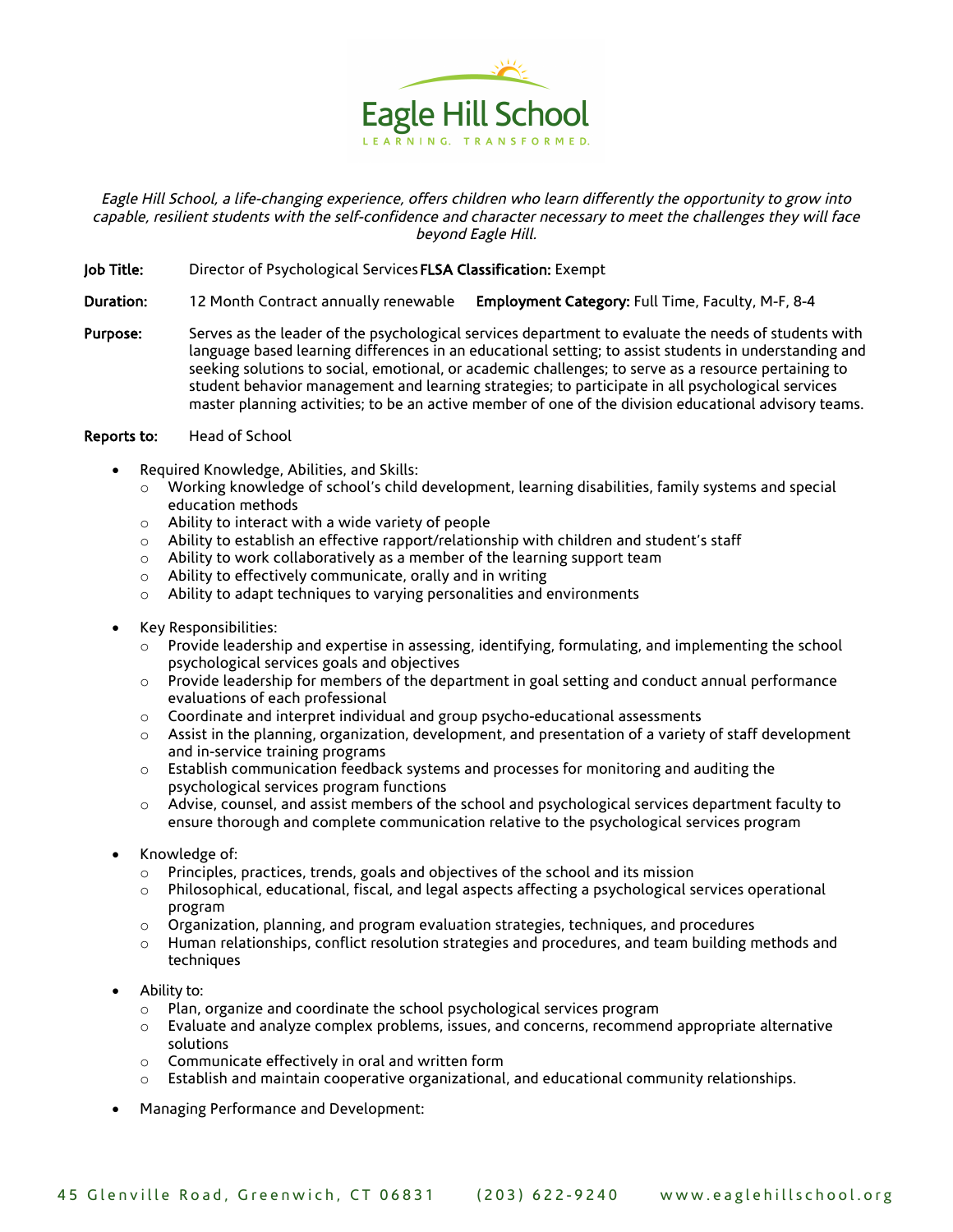

Eagle Hill School, a life-changing experience, offers children who learn differently the opportunity to grow into capable, resilient students with the self-confidence and character necessary to meet the challenges they will face beyond Eagle Hill.

- Job Title: Director of Psychological Services FLSA Classification: Exempt
- Duration: 12 Month Contract annually renewable Employment Category: Full Time, Faculty, M-F, 8-4
- Purpose: Serves as the leader of the psychological services department to evaluate the needs of students with language based learning differences in an educational setting; to assist students in understanding and seeking solutions to social, emotional, or academic challenges; to serve as a resource pertaining to student behavior management and learning strategies; to participate in all psychological services master planning activities; to be an active member of one of the division educational advisory teams.

## Reports to: Head of School

- Required Knowledge, Abilities, and Skills:
	- o Working knowledge of school's child development, learning disabilities, family systems and special education methods
	- o Ability to interact with a wide variety of people
	- $\circ$  Ability to establish an effective rapport/relationship with children and student's staff
	- o Ability to work collaboratively as a member of the learning support team
	- o Ability to effectively communicate, orally and in writing
	- o Ability to adapt techniques to varying personalities and environments
- Key Responsibilities:
	- o Provide leadership and expertise in assessing, identifying, formulating, and implementing the school psychological services goals and objectives
	- $\circ$  Provide leadership for members of the department in goal setting and conduct annual performance evaluations of each professional
	- $\circ$  Coordinate and interpret individual and group psycho-educational assessments
	- $\circ$  Assist in the planning, organization, development, and presentation of a variety of staff development and in-service training programs
	- $\circ$  Establish communication feedback systems and processes for monitoring and auditing the psychological services program functions
	- o Advise, counsel, and assist members of the school and psychological services department faculty to ensure thorough and complete communication relative to the psychological services program
- Knowledge of:
	- o Principles, practices, trends, goals and objectives of the school and its mission
	- o Philosophical, educational, fiscal, and legal aspects affecting a psychological services operational program
	- $\circ$  Organization, planning, and program evaluation strategies, techniques, and procedures
	- o Human relationships, conflict resolution strategies and procedures, and team building methods and techniques
- Ability to:
	- o Plan, organize and coordinate the school psychological services program
	- o Evaluate and analyze complex problems, issues, and concerns, recommend appropriate alternative solutions
	- o Communicate effectively in oral and written form
	- Establish and maintain cooperative organizational, and educational community relationships.
- Managing Performance and Development: